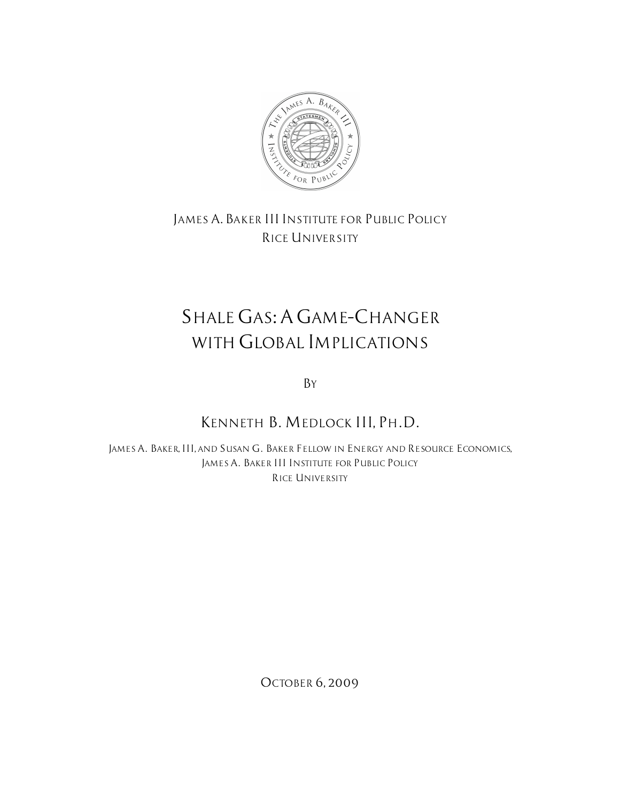

*JAMES A.BAKER III INSTITUTE FOR PUBLIC POLICY RICE UNIVERSITY*

## *SHALE GAS:A GAME–CHANGER WITH GLOBAL IMPLICATIONS*

*BY*

## *KENNETH B. MEDLOCK III, PH.D.*

*JAMES A. BAKER, III, AND SUSAN G. BAKER FELLOW IN ENERGY AND RESOURCE ECONOMICS, JAMES A. BAKER III INSTITUTE FOR PUBLIC POLICY RICE UNIVERSITY*

*OCTOBER 6, 2009*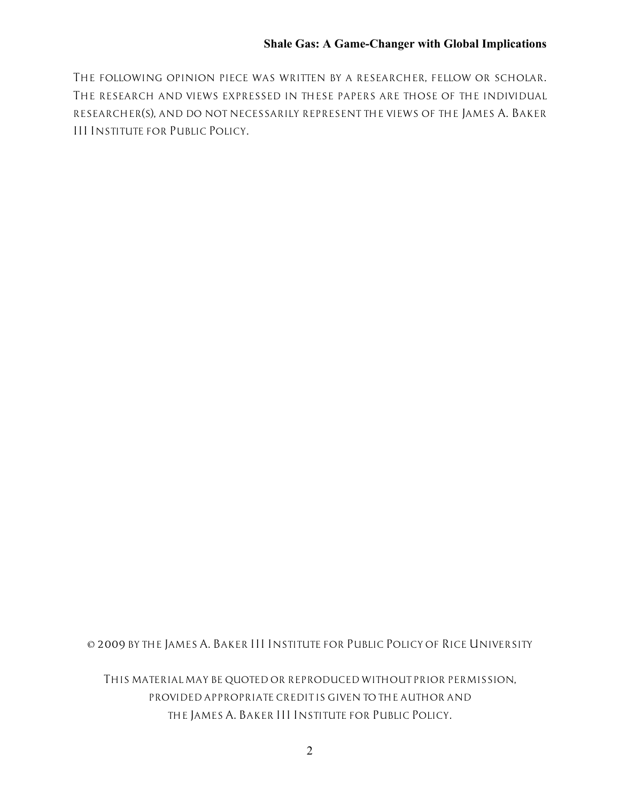*THE FOLLOWING OPINION PIECE WAS WRITTEN BY A RESEARCHER, FELLOW OR SCHOLAR. THE RESEARCH AND VIEWS EXPRESSED IN THESE PAPERS ARE THOSE OF THE INDIVIDUAL RESEARCHER(S), AND DO NOT NECESSARILY REPRESENT THE VIEWS OF THE JAMES A. BAKER III INSTITUTE FOR PUBLIC POLICY.*

*© 2009 BY THE JAMES A. BAKER III INSTITUTE FOR PUBLIC POLICY OF RICE UNIVERSITY*

*THIS MATERIAL MAY BE QUOTED OR REPRODUCED WITHOUT PRIOR PERMISSION, PROVIDED APPROPRIATE CREDIT IS GIVEN TO THE AUTHOR AND THE JAMES A. BAKER III INSTITUTE FOR PUBLIC POLICY.*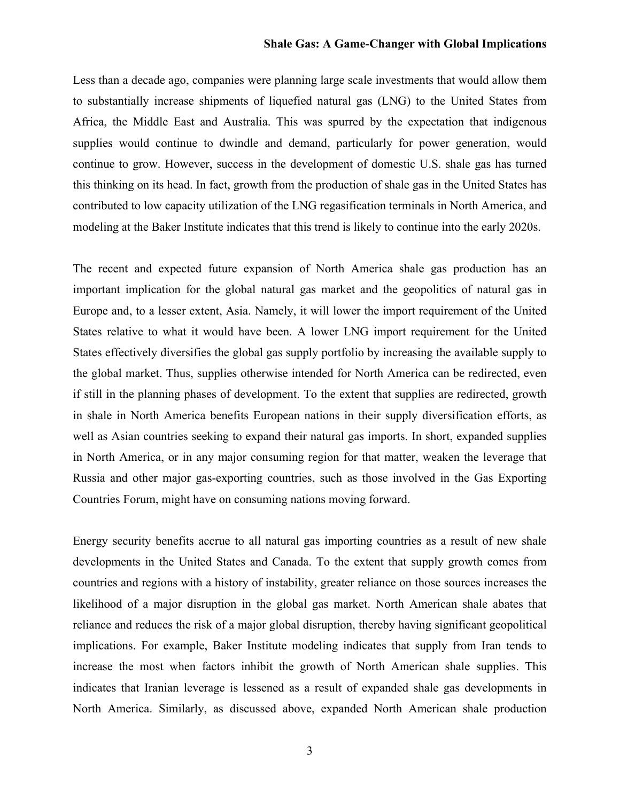## **Shale Gas: A Game-Changer with Global Implications**

Less than a decade ago, companies were planning large scale investments that would allow them to substantially increase shipments of liquefied natural gas (LNG) to the United States from Africa, the Middle East and Australia. This was spurred by the expectation that indigenous supplies would continue to dwindle and demand, particularly for power generation, would continue to grow. However, success in the development of domestic U.S. shale gas has turned this thinking on its head. In fact, growth from the production of shale gas in the United States has contributed to low capacity utilization of the LNG regasification terminals in North America, and modeling at the Baker Institute indicates that this trend is likely to continue into the early 2020s.

The recent and expected future expansion of North America shale gas production has an important implication for the global natural gas market and the geopolitics of natural gas in Europe and, to a lesser extent, Asia. Namely, it will lower the import requirement of the United States relative to what it would have been. A lower LNG import requirement for the United States effectively diversifies the global gas supply portfolio by increasing the available supply to the global market. Thus, supplies otherwise intended for North America can be redirected, even if still in the planning phases of development. To the extent that supplies are redirected, growth in shale in North America benefits European nations in their supply diversification efforts, as well as Asian countries seeking to expand their natural gas imports. In short, expanded supplies in North America, or in any major consuming region for that matter, weaken the leverage that Russia and other major gas-exporting countries, such as those involved in the Gas Exporting Countries Forum, might have on consuming nations moving forward.

Energy security benefits accrue to all natural gas importing countries as a result of new shale developments in the United States and Canada. To the extent that supply growth comes from countries and regions with a history of instability, greater reliance on those sources increases the likelihood of a major disruption in the global gas market. North American shale abates that reliance and reduces the risk of a major global disruption, thereby having significant geopolitical implications. For example, Baker Institute modeling indicates that supply from Iran tends to increase the most when factors inhibit the growth of North American shale supplies. This indicates that Iranian leverage is lessened as a result of expanded shale gas developments in North America. Similarly, as discussed above, expanded North American shale production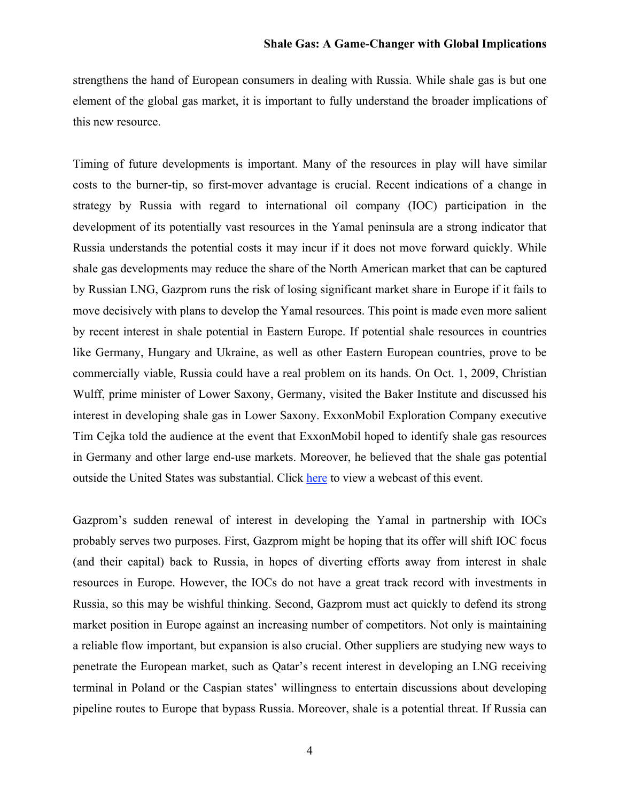strengthens the hand of European consumers in dealing with Russia. While shale gas is but one element of the global gas market, it is important to fully understand the broader implications of this new resource.

Timing of future developments is important. Many of the resources in play will have similar costs to the burner-tip, so first-mover advantage is crucial. Recent indications of a change in strategy by Russia with regard to international oil company (IOC) participation in the development of its potentially vast resources in the Yamal peninsula are a strong indicator that Russia understands the potential costs it may incur if it does not move forward quickly. While shale gas developments may reduce the share of the North American market that can be captured by Russian LNG, Gazprom runs the risk of losing significant market share in Europe if it fails to move decisively with plans to develop the Yamal resources. This point is made even more salient by recent interest in shale potential in Eastern Europe. If potential shale resources in countries like Germany, Hungary and Ukraine, as well as other Eastern European countries, prove to be commercially viable, Russia could have a real problem on its hands. On Oct. 1, 2009, Christian Wulff, prime minister of Lower Saxony, Germany, visited the Baker Institute and discussed his interest in developing shale gas in Lower Saxony. ExxonMobil Exploration Company executive Tim Cejka told the audience at the event that ExxonMobil hoped to identify shale gas resources in Germany and other large end-use markets. Moreover, he believed that the shale gas potential outside the United States was substantial. Click [here](http://www.bakerinstitute.org/events/technology-to-help-meet-germanys-cleaner-energy-future) to view a webcast of this event.

Gazprom's sudden renewal of interest in developing the Yamal in partnership with IOCs probably serves two purposes. First, Gazprom might be hoping that its offer will shift IOC focus (and their capital) back to Russia, in hopes of diverting efforts away from interest in shale resources in Europe. However, the IOCs do not have a great track record with investments in Russia, so this may be wishful thinking. Second, Gazprom must act quickly to defend its strong market position in Europe against an increasing number of competitors. Not only is maintaining a reliable flow important, but expansion is also crucial. Other suppliers are studying new ways to penetrate the European market, such as Qatar's recent interest in developing an LNG receiving terminal in Poland or the Caspian states' willingness to entertain discussions about developing pipeline routes to Europe that bypass Russia. Moreover, shale is a potential threat. If Russia can